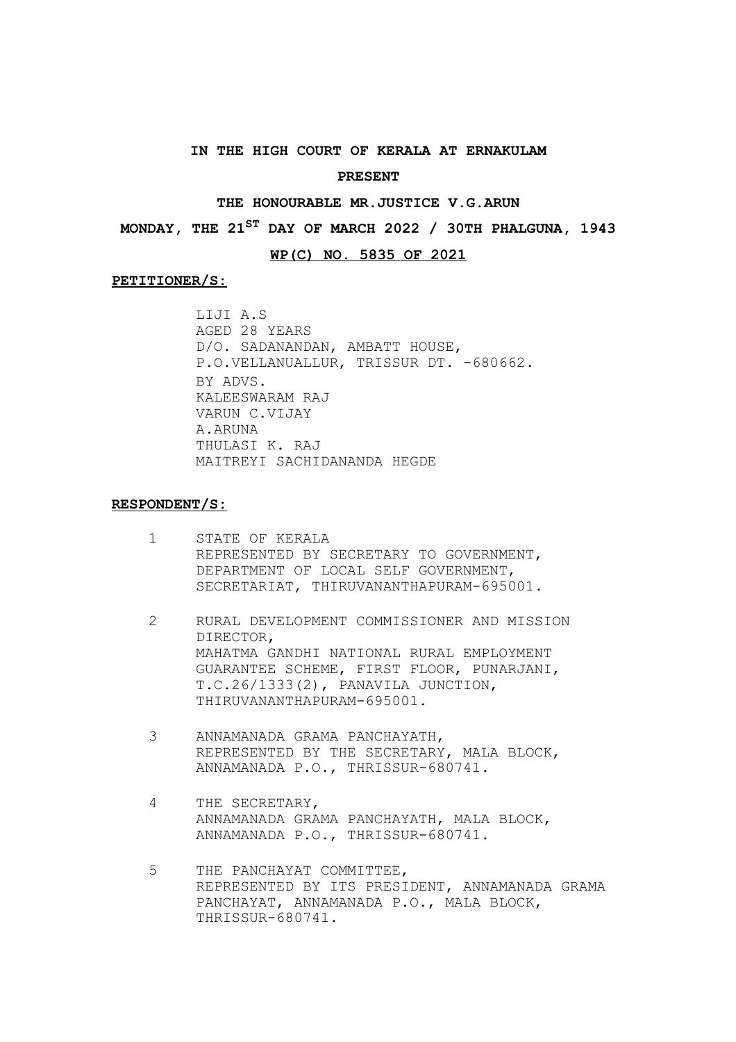### **IN THE HIGH COURT OF KERALA AT ERNAKULAM**

#### **PRESENT**

# **THE HONOURABLE MR.JUSTICE V.G.ARUN**

**MONDAY, THE 21ST DAY OF MARCH 2022 / 30TH PHALGUNA, 1943**

# **WP(C) NO. 5835 OF 2021**

#### **PETITIONER/S:**

LIJI A.S AGED 28 YEARS D/O. SADANANDAN, AMBATT HOUSE, P.O.VELLANUALLUR, TRISSUR DT. -680662. BY ADVS. KALEESWARAM RAJ VARUN C.VIJAY A.ARUNA THULASI K. RAJ MAITREYI SACHIDANANDA HEGDE

#### **RESPONDENT/S:**

- 1 STATE OF KERALA REPRESENTED BY SECRETARY TO GOVERNMENT, DEPARTMENT OF LOCAL SELF GOVERNMENT, SECRETARIAT, THIRUVANANTHAPURAM-695001.
- 2 RURAL DEVELOPMENT COMMISSIONER AND MISSION DIRECTOR, MAHATMA GANDHI NATIONAL RURAL EMPLOYMENT GUARANTEE SCHEME, FIRST FLOOR, PUNARJANI, T.C.26/1333(2), PANAVILA JUNCTION, THIRUVANANTHAPURAM-695001.
- 3 ANNAMANADA GRAMA PANCHAYATH, REPRESENTED BY THE SECRETARY, MALA BLOCK, ANNAMANADA P.O., THRISSUR-680741.
- 4 THE SECRETARY, ANNAMANADA GRAMA PANCHAYATH, MALA BLOCK, ANNAMANADA P.O., THRISSUR-680741.
- 5 THE PANCHAYAT COMMITTEE, REPRESENTED BY ITS PRESIDENT, ANNAMANADA GRAMA PANCHAYAT, ANNAMANADA P.O., MALA BLOCK, THRISSUR-680741.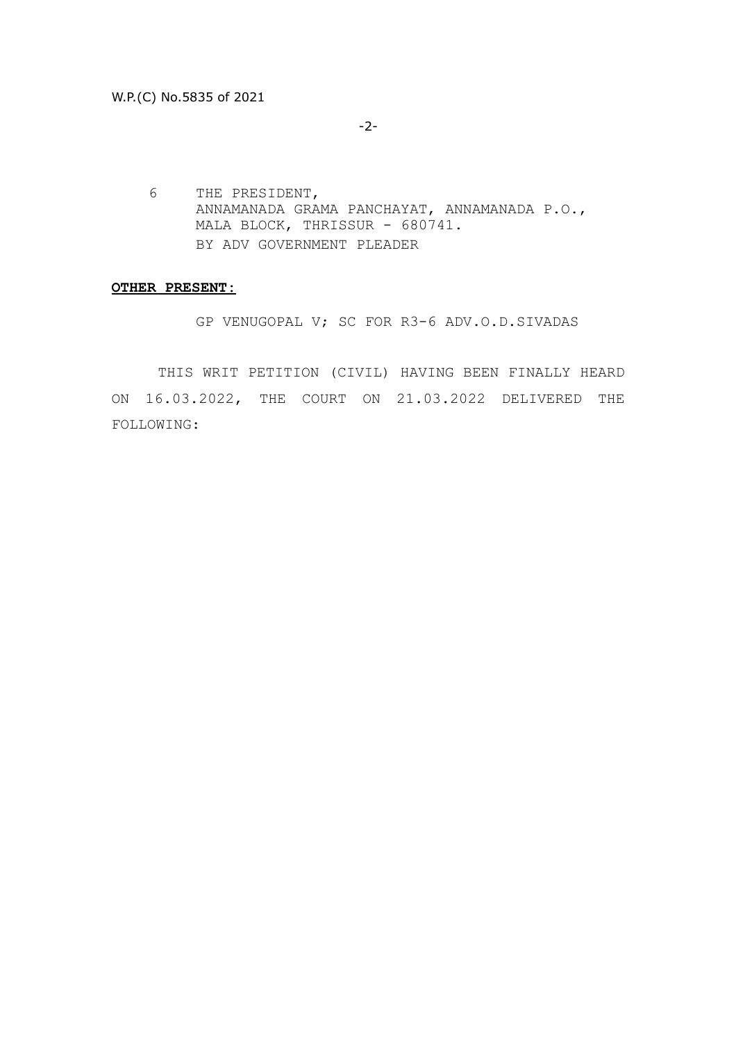-2-

6 THE PRESIDENT, ANNAMANADA GRAMA PANCHAYAT, ANNAMANADA P.O., MALA BLOCK, THRISSUR - 680741. BY ADV GOVERNMENT PLEADER

#### **OTHER PRESENT:**

GP VENUGOPAL V; SC FOR R3-6 ADV.O.D.SIVADAS

THIS WRIT PETITION (CIVIL) HAVING BEEN FINALLY HEARD ON 16.03.2022, THE COURT ON 21.03.2022 DELIVERED THE FOLLOWING: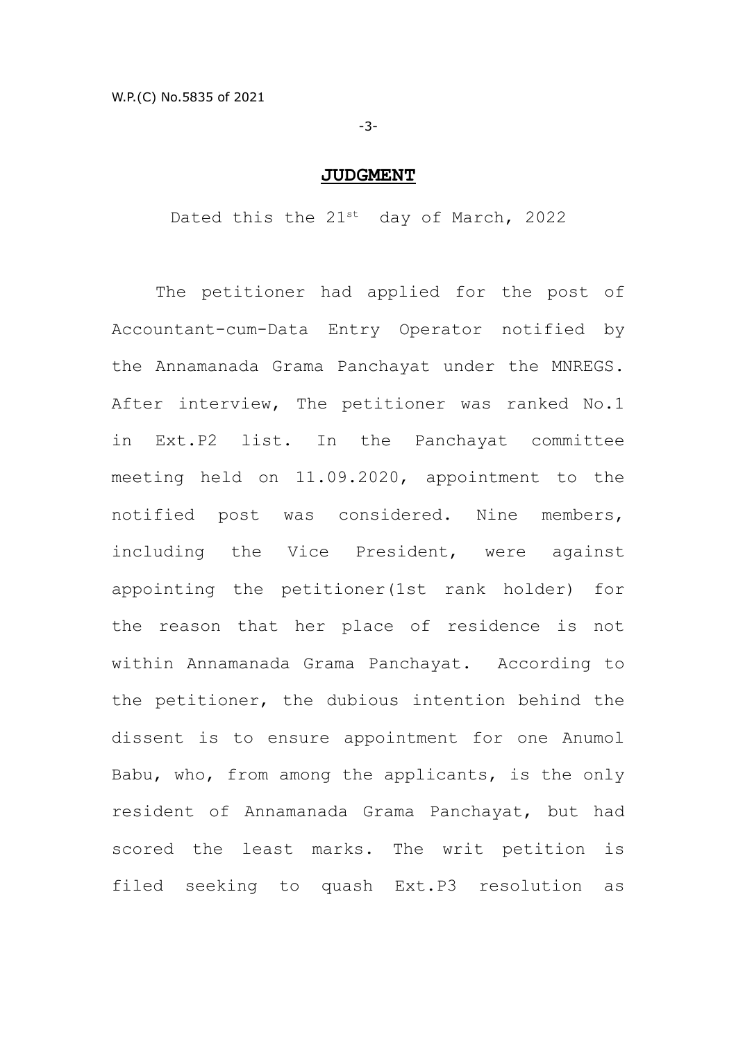-3-

# **JUDGMENT**

Dated this the  $21^{st}$  day of March, 2022

The petitioner had applied for the post of Accountant-cum-Data Entry Operator notified by the Annamanada Grama Panchayat under the MNREGS. After interview, The petitioner was ranked No.1 in Ext.P2 list. In the Panchayat committee meeting held on 11.09.2020, appointment to the notified post was considered. Nine members, including the Vice President, were against appointing the petitioner(1st rank holder) for the reason that her place of residence is not within Annamanada Grama Panchayat. According to the petitioner, the dubious intention behind the dissent is to ensure appointment for one Anumol Babu, who, from among the applicants, is the only resident of Annamanada Grama Panchayat, but had scored the least marks. The writ petition is filed seeking to quash Ext.P3 resolution as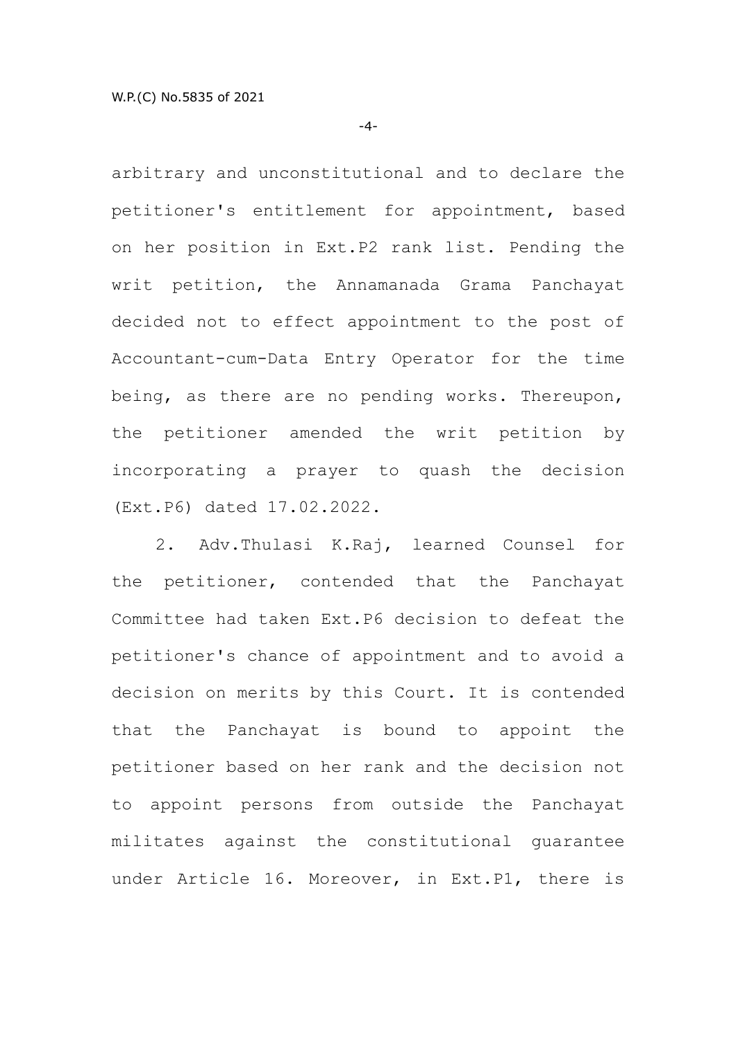-4-

arbitrary and unconstitutional and to declare the petitioner's entitlement for appointment, based on her position in Ext.P2 rank list. Pending the writ petition, the Annamanada Grama Panchayat decided not to effect appointment to the post of Accountant-cum-Data Entry Operator for the time being, as there are no pending works. Thereupon, the petitioner amended the writ petition by incorporating a prayer to quash the decision (Ext.P6) dated 17.02.2022.

2. Adv.Thulasi K.Raj, learned Counsel for the petitioner, contended that the Panchayat Committee had taken Ext.P6 decision to defeat the petitioner's chance of appointment and to avoid a decision on merits by this Court. It is contended that the Panchayat is bound to appoint the petitioner based on her rank and the decision not to appoint persons from outside the Panchayat militates against the constitutional guarantee under Article 16. Moreover, in Ext.P1, there is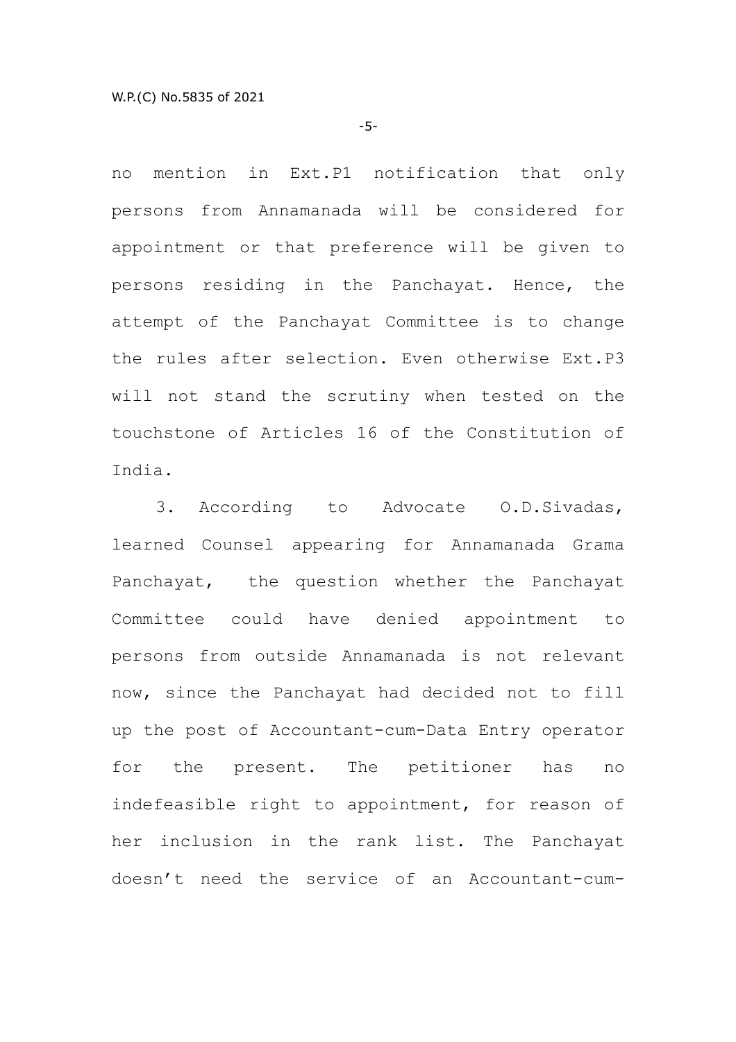-5-

no mention in Ext.P1 notification that only persons from Annamanada will be considered for appointment or that preference will be given to persons residing in the Panchayat. Hence, the attempt of the Panchayat Committee is to change the rules after selection. Even otherwise Ext.P3 will not stand the scrutiny when tested on the touchstone of Articles 16 of the Constitution of India.

3. According to Advocate O.D.Sivadas, learned Counsel appearing for Annamanada Grama Panchayat, the question whether the Panchayat Committee could have denied appointment to persons from outside Annamanada is not relevant now, since the Panchayat had decided not to fill up the post of Accountant-cum-Data Entry operator for the present. The petitioner has no indefeasible right to appointment, for reason of her inclusion in the rank list. The Panchayat doesn't need the service of an Accountant-cum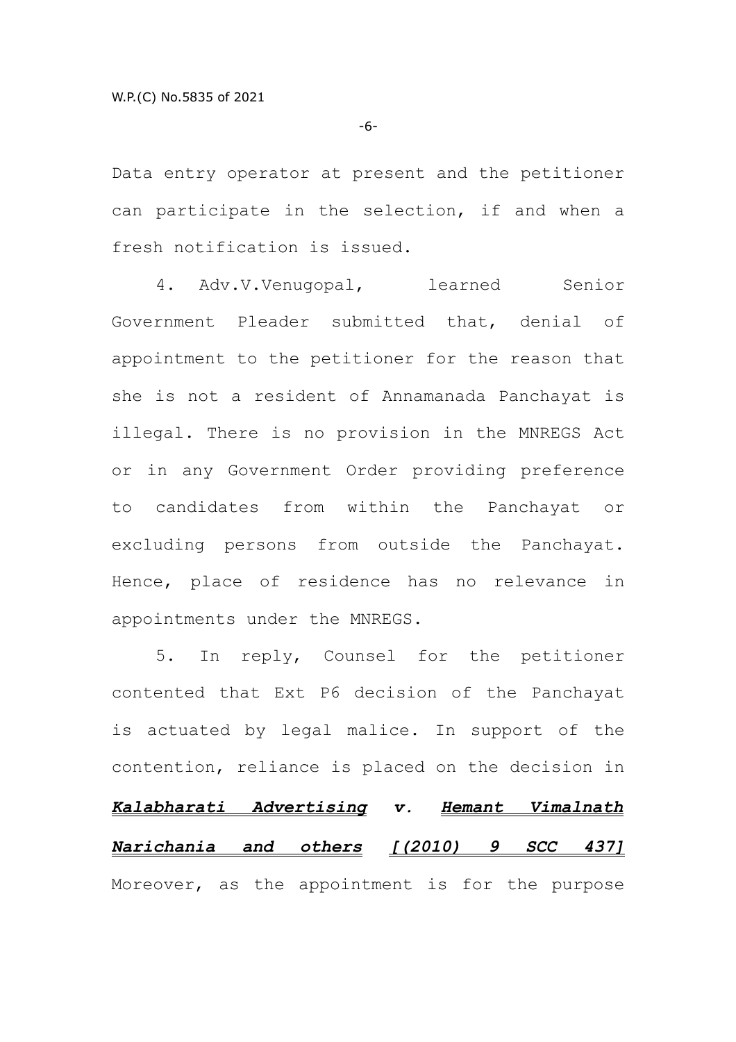-6-

Data entry operator at present and the petitioner can participate in the selection, if and when a fresh notification is issued.

4. Adv.V.Venugopal, learned Senior Government Pleader submitted that, denial of appointment to the petitioner for the reason that she is not a resident of Annamanada Panchayat is illegal. There is no provision in the MNREGS Act or in any Government Order providing preference to candidates from within the Panchayat or excluding persons from outside the Panchayat. Hence, place of residence has no relevance in appointments under the MNREGS.

5. In reply, Counsel for the petitioner contented that Ext P6 decision of the Panchayat is actuated by legal malice. In support of the contention, reliance is placed on the decision in *Kalabharati Advertising v. Hemant Vimalnath Narichania and others [(2010) 9 SCC 437]* Moreover, as the appointment is for the purpose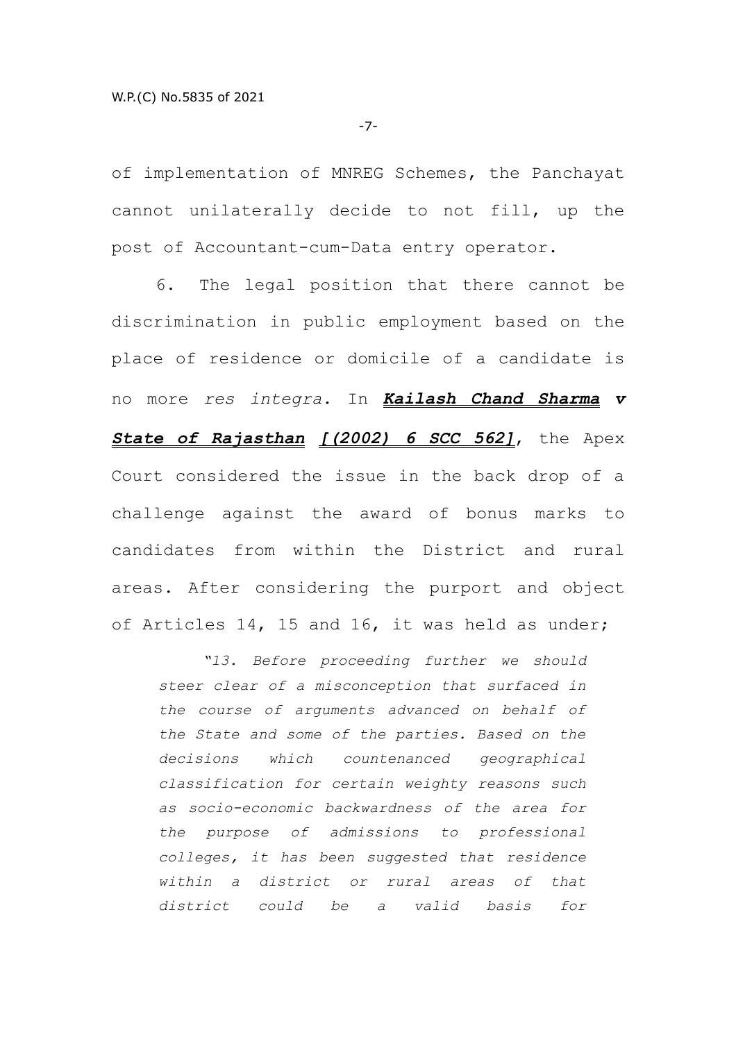-7-

of implementation of MNREG Schemes, the Panchayat cannot unilaterally decide to not fill, up the post of Accountant-cum-Data entry operator.

6. The legal position that there cannot be discrimination in public employment based on the place of residence or domicile of a candidate is no more *res integra*. In *Kailash Chand Sharma v State of Rajasthan [(2002) 6 SCC 562]*, the Apex Court considered the issue in the back drop of a challenge against the award of bonus marks to candidates from within the District and rural areas. After considering the purport and object of Articles 14, 15 and 16, it was held as under;

*"13. Before proceeding further we should steer clear of a misconception that surfaced in the course of arguments advanced on behalf of the State and some of the parties. Based on the decisions which countenanced geographical classification for certain weighty reasons such as socio-economic backwardness of the area for the purpose of admissions to professional colleges, it has been suggested that residence within a district or rural areas of that district could be a valid basis for*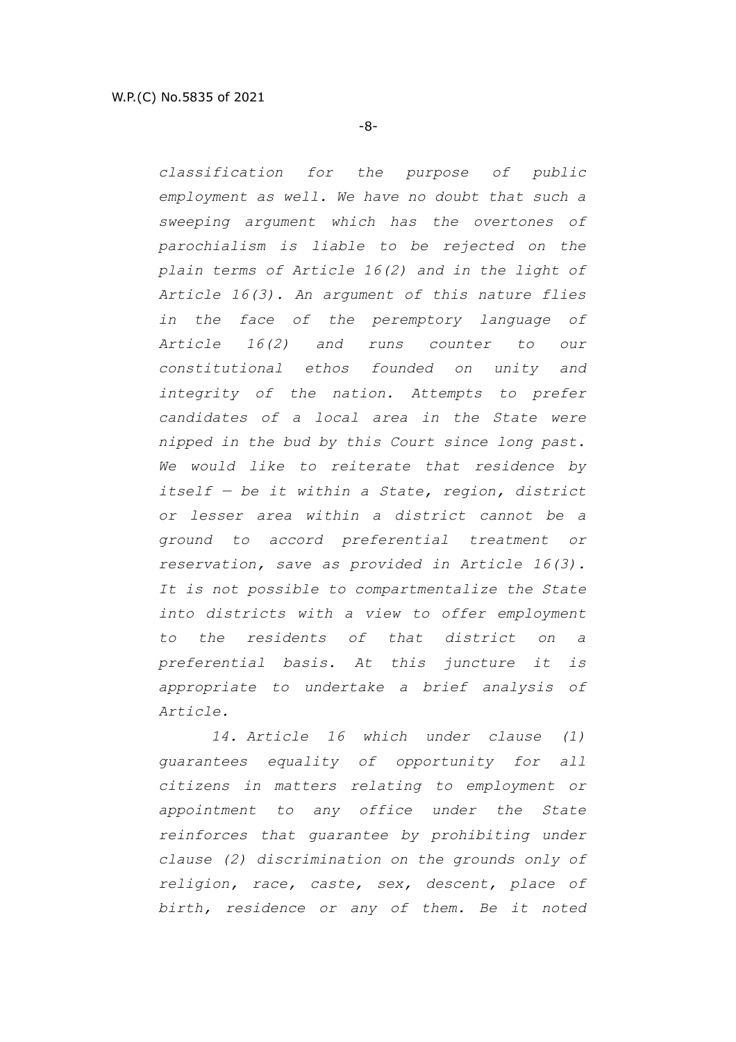*classification for the purpose of public employment as well. We have no doubt that such a sweeping argument which has the overtones of parochialism is liable to be rejected on the plain terms of Article 16(2) and in the light of Article 16(3). An argument of this nature flies in the face of the peremptory language of Article 16(2) and runs counter to our constitutional ethos founded on unity and integrity of the nation. Attempts to prefer candidates of a local area in the State were nipped in the bud by this Court since long past. We would like to reiterate that residence by itself — be it within a State, region, district or lesser area within a district cannot be a ground to accord preferential treatment or reservation, save as provided in Article 16(3). It is not possible to compartmentalize the State into districts with a view to offer employment to the residents of that district on a preferential basis. At this juncture it is appropriate to undertake a brief analysis of Article.* 

 *14. Article 16 which under clause (1) guarantees equality of opportunity for all citizens in matters relating to employment or appointment to any office under the State reinforces that guarantee by prohibiting under clause (2) discrimination on the grounds only of religion, race, caste, sex, descent, place of birth, residence or any of them. Be it noted*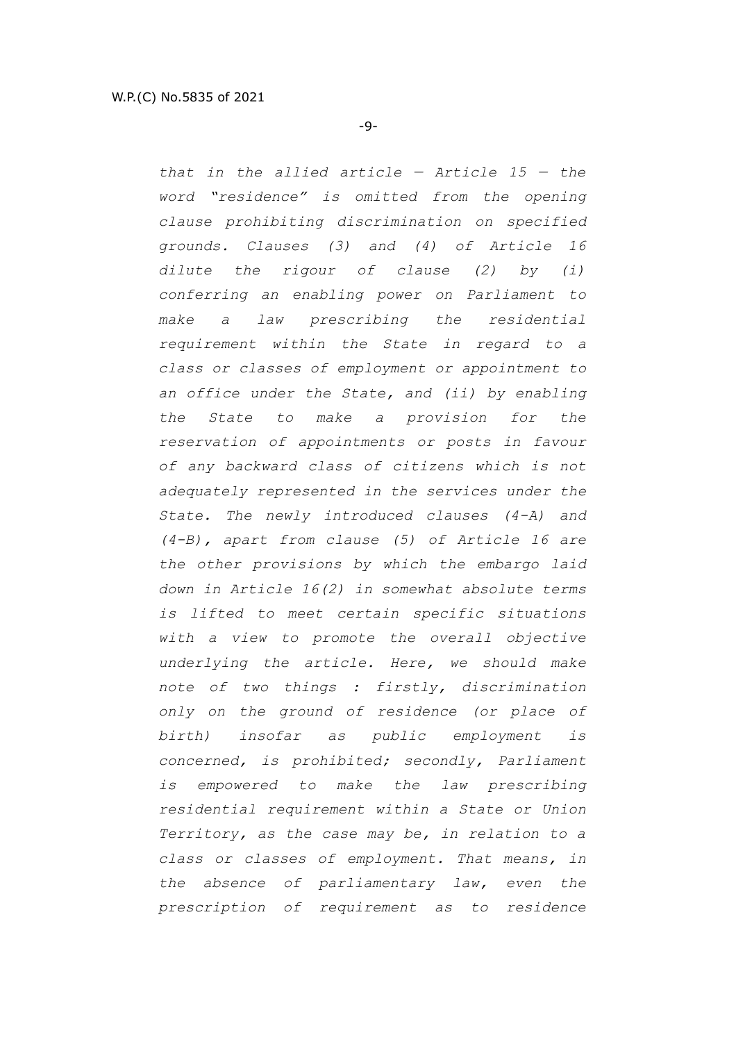*that in the allied article — Article 15 — the word "residence" is omitted from the opening clause prohibiting discrimination on specified grounds. Clauses (3) and (4) of Article 16 dilute the rigour of clause (2) by (i) conferring an enabling power on Parliament to make a law prescribing the residential requirement within the State in regard to a class or classes of employment or appointment to an office under the State, and (ii) by enabling the State to make a provision for the reservation of appointments or posts in favour of any backward class of citizens which is not adequately represented in the services under the State. The newly introduced clauses (4-A) and (4-B), apart from clause (5) of Article 16 are the other provisions by which the embargo laid down in Article 16(2) in somewhat absolute terms is lifted to meet certain specific situations with a view to promote the overall objective underlying the article. Here, we should make note of two things : firstly, discrimination only on the ground of residence (or place of birth) insofar as public employment is concerned, is prohibited; secondly, Parliament is empowered to make the law prescribing residential requirement within a State or Union Territory, as the case may be, in relation to a class or classes of employment. That means, in the absence of parliamentary law, even the prescription of requirement as to residence*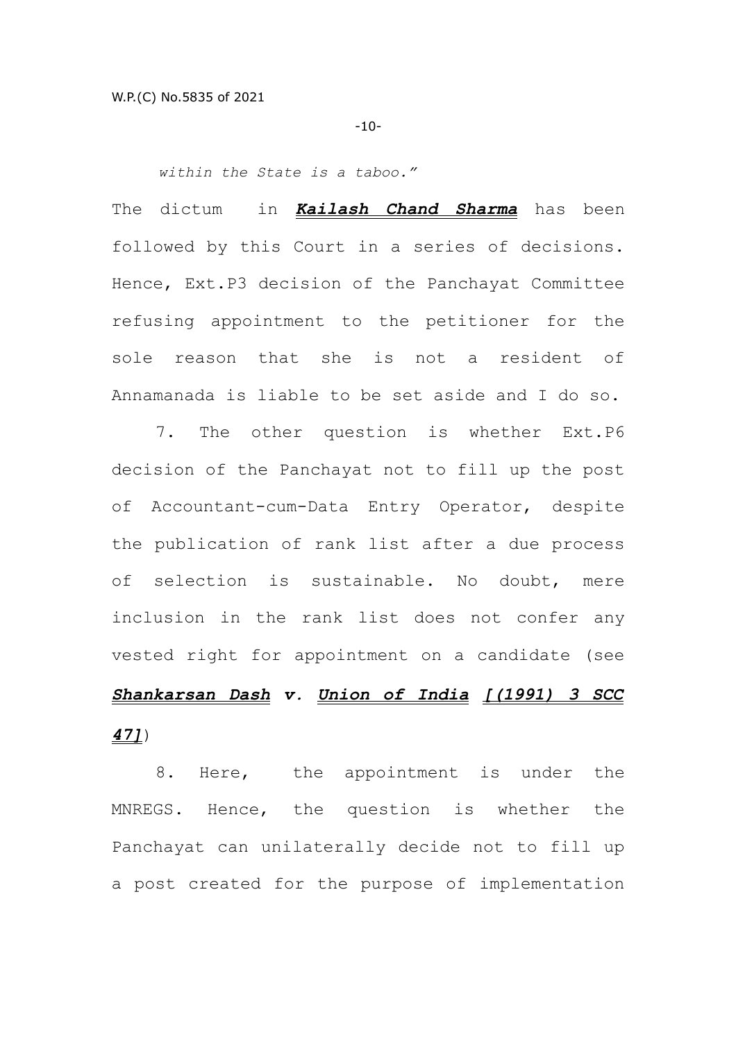-10-

*within the State is a taboo."*

The dictum in *Kailash Chand Sharma* has been followed by this Court in a series of decisions. Hence, Ext.P3 decision of the Panchayat Committee refusing appointment to the petitioner for the sole reason that she is not a resident of Annamanada is liable to be set aside and I do so.

7. The other question is whether Ext.P6 decision of the Panchayat not to fill up the post of Accountant-cum-Data Entry Operator, despite the publication of rank list after a due process of selection is sustainable. No doubt, mere inclusion in the rank list does not confer any vested right for appointment on a candidate (see *Shankarsan Dash v. Union of India [(1991) 3 SCC 47]*)

8. Here, the appointment is under the MNREGS. Hence, the question is whether the Panchayat can unilaterally decide not to fill up a post created for the purpose of implementation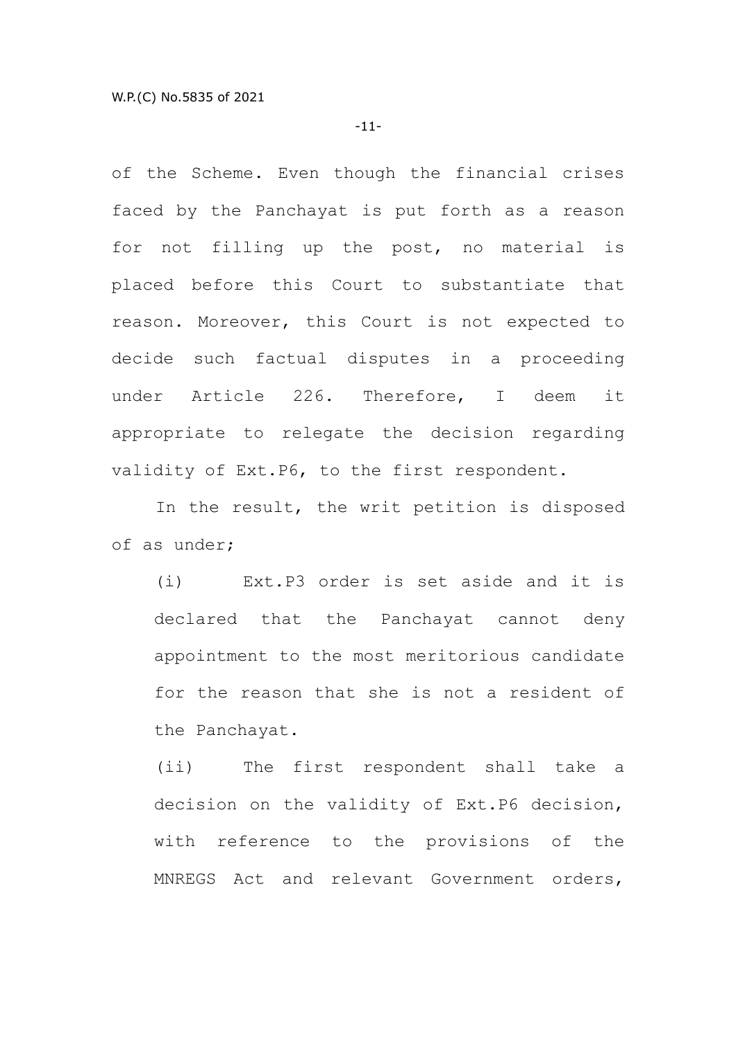-11-

of the Scheme. Even though the financial crises faced by the Panchayat is put forth as a reason for not filling up the post, no material is placed before this Court to substantiate that reason. Moreover, this Court is not expected to decide such factual disputes in a proceeding under Article 226. Therefore, I deem it appropriate to relegate the decision regarding validity of Ext.P6, to the first respondent.

In the result, the writ petition is disposed of as under;

(i) Ext.P3 order is set aside and it is declared that the Panchayat cannot deny appointment to the most meritorious candidate for the reason that she is not a resident of the Panchayat.

(ii) The first respondent shall take a decision on the validity of Ext.P6 decision, with reference to the provisions of the MNREGS Act and relevant Government orders,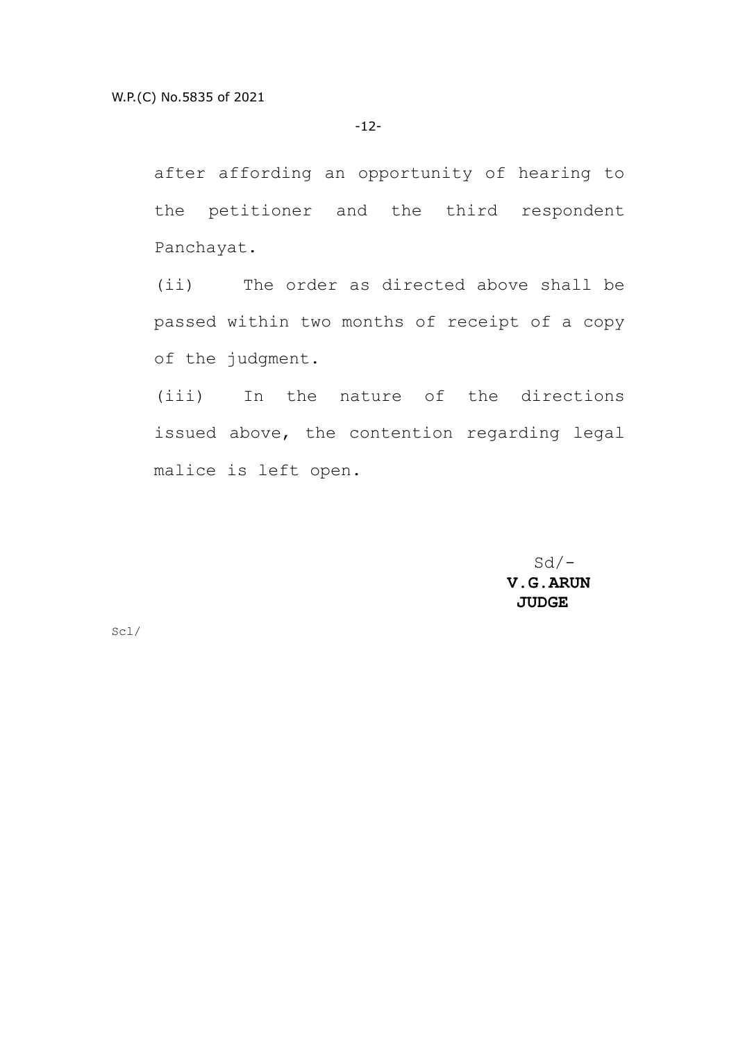after affording an opportunity of hearing to the petitioner and the third respondent Panchayat.

(ii) The order as directed above shall be passed within two months of receipt of a copy of the judgment.

(iii) In the nature of the directions issued above, the contention regarding legal malice is left open.

> $Sd/-$  **V.G.ARUN JUDGE**

Scl/